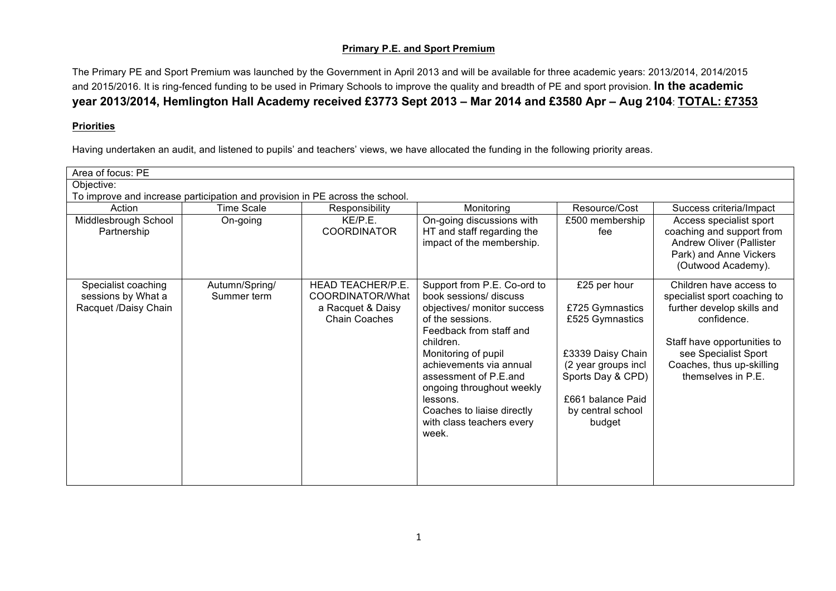## **Primary P.E. and Sport Premium**

The Primary PE and Sport Premium was launched by the Government in April 2013 and will be available for three academic years: 2013/2014, 2014/2015 and 2015/2016. It is ring-fenced funding to be used in Primary Schools to improve the quality and breadth of PE and sport provision. **In the academic year 2013/2014, Hemlington Hall Academy received £3773 Sept 2013 – Mar 2014 and £3580 Apr – Aug 2104**: **TOTAL: £7353**

## **Priorities**

Having undertaken an audit, and listened to pupils' and teachers' views, we have allocated the funding in the following priority areas.

| Area of focus: PE                                                            |                               |                                                                                    |                                                                                                                                                                                                                                                                                                                                          |                                                                                                                                                                         |                                                                                                                                                                                                                |  |
|------------------------------------------------------------------------------|-------------------------------|------------------------------------------------------------------------------------|------------------------------------------------------------------------------------------------------------------------------------------------------------------------------------------------------------------------------------------------------------------------------------------------------------------------------------------|-------------------------------------------------------------------------------------------------------------------------------------------------------------------------|----------------------------------------------------------------------------------------------------------------------------------------------------------------------------------------------------------------|--|
| Objective:                                                                   |                               |                                                                                    |                                                                                                                                                                                                                                                                                                                                          |                                                                                                                                                                         |                                                                                                                                                                                                                |  |
| To improve and increase participation and provision in PE across the school. |                               |                                                                                    |                                                                                                                                                                                                                                                                                                                                          |                                                                                                                                                                         |                                                                                                                                                                                                                |  |
| Action                                                                       | <b>Time Scale</b>             | Responsibility                                                                     | Monitoring                                                                                                                                                                                                                                                                                                                               | Resource/Cost                                                                                                                                                           | Success criteria/Impact                                                                                                                                                                                        |  |
| Middlesbrough School<br>Partnership                                          | On-going                      | KE/P.E.<br><b>COORDINATOR</b>                                                      | On-going discussions with<br>HT and staff regarding the<br>impact of the membership.                                                                                                                                                                                                                                                     | £500 membership<br>fee                                                                                                                                                  | Access specialist sport<br>coaching and support from<br>Andrew Oliver (Pallister<br>Park) and Anne Vickers<br>(Outwood Academy).                                                                               |  |
| Specialist coaching<br>sessions by What a<br>Racquet /Daisy Chain            | Autumn/Spring/<br>Summer term | HEAD TEACHER/P.E.<br>COORDINATOR/What<br>a Racquet & Daisy<br><b>Chain Coaches</b> | Support from P.E. Co-ord to<br>book sessions/ discuss<br>objectives/ monitor success<br>of the sessions.<br>Feedback from staff and<br>children.<br>Monitoring of pupil<br>achievements via annual<br>assessment of P.E.and<br>ongoing throughout weekly<br>lessons.<br>Coaches to liaise directly<br>with class teachers every<br>week. | £25 per hour<br>£725 Gymnastics<br>£525 Gymnastics<br>£3339 Daisy Chain<br>(2 year groups incl<br>Sports Day & CPD)<br>£661 balance Paid<br>by central school<br>budget | Children have access to<br>specialist sport coaching to<br>further develop skills and<br>confidence.<br>Staff have opportunities to<br>see Specialist Sport<br>Coaches, thus up-skilling<br>themselves in P.E. |  |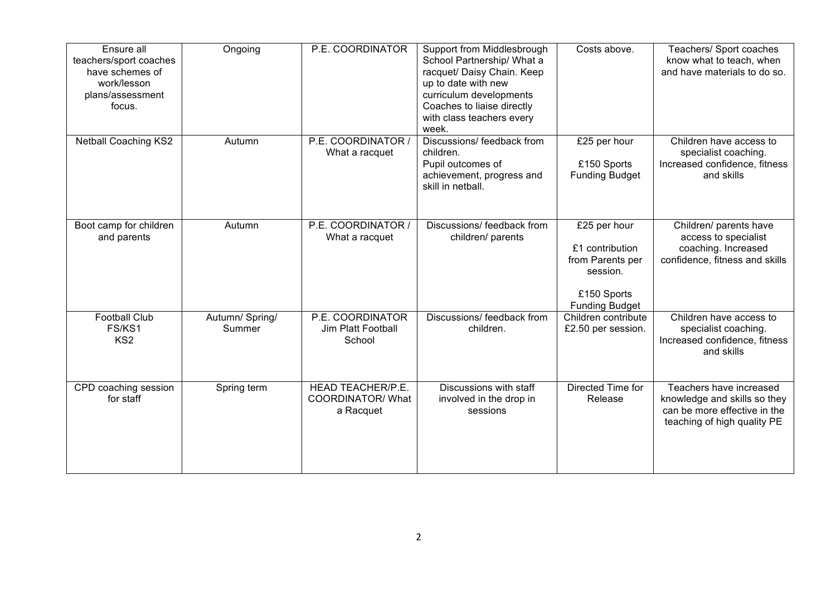| Ensure all<br>teachers/sport coaches<br>have schemes of<br>work/lesson<br>plans/assessment<br>focus. | Ongoing                   | P.E. COORDINATOR                                                  | Support from Middlesbrough<br>School Partnership/ What a<br>racquet/ Daisy Chain. Keep<br>up to date with new<br>curriculum developments<br>Coaches to liaise directly<br>with class teachers every<br>week. | Costs above.                                                                                            | Teachers/ Sport coaches<br>know what to teach, when<br>and have materials to do so.                                    |
|------------------------------------------------------------------------------------------------------|---------------------------|-------------------------------------------------------------------|--------------------------------------------------------------------------------------------------------------------------------------------------------------------------------------------------------------|---------------------------------------------------------------------------------------------------------|------------------------------------------------------------------------------------------------------------------------|
| <b>Netball Coaching KS2</b>                                                                          | Autumn                    | P.E. COORDINATOR /<br>What a racquet                              | Discussions/ feedback from<br>children.<br>Pupil outcomes of<br>achievement, progress and<br>skill in netball.                                                                                               | £25 per hour<br>£150 Sports<br><b>Funding Budget</b>                                                    | Children have access to<br>specialist coaching.<br>Increased confidence, fitness<br>and skills                         |
| Boot camp for children<br>and parents                                                                | Autumn                    | P.E. COORDINATOR /<br>What a racquet                              | Discussions/ feedback from<br>children/ parents                                                                                                                                                              | £25 per hour<br>£1 contribution<br>from Parents per<br>session.<br>£150 Sports<br><b>Funding Budget</b> | Children/ parents have<br>access to specialist<br>coaching. Increased<br>confidence, fitness and skills                |
| <b>Football Club</b><br>FS/KS1<br>KS <sub>2</sub>                                                    | Autumn/ Spring/<br>Summer | P.E. COORDINATOR<br>Jim Platt Football<br>School                  | Discussions/ feedback from<br>children.                                                                                                                                                                      | Children contribute<br>£2.50 per session.                                                               | Children have access to<br>specialist coaching.<br>Increased confidence, fitness<br>and skills                         |
| CPD coaching session<br>for staff                                                                    | Spring term               | <b>HEAD TEACHER/P.E.</b><br><b>COORDINATOR/ What</b><br>a Racquet | Discussions with staff<br>involved in the drop in<br>sessions                                                                                                                                                | Directed Time for<br>Release                                                                            | Teachers have increased<br>knowledge and skills so they<br>can be more effective in the<br>teaching of high quality PE |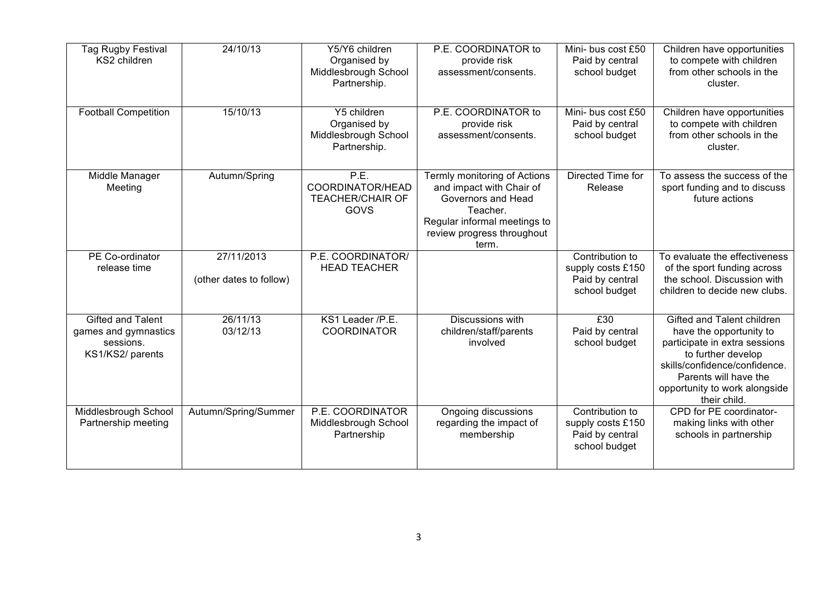| Tag Rugby Festival<br>KS2 children                                                | 24/10/13                              | Y5/Y6 children<br>Organised by<br>Middlesbrough School<br>Partnership. | P.E. COORDINATOR to<br>provide risk<br>assessment/consents.                                                                                                       | Mini- bus cost £50<br>Paid by central<br>school budget                   | Children have opportunities<br>to compete with children<br>from other schools in the<br>cluster.                                                                                                                        |
|-----------------------------------------------------------------------------------|---------------------------------------|------------------------------------------------------------------------|-------------------------------------------------------------------------------------------------------------------------------------------------------------------|--------------------------------------------------------------------------|-------------------------------------------------------------------------------------------------------------------------------------------------------------------------------------------------------------------------|
| <b>Football Competition</b>                                                       | 15/10/13                              | Y5 children<br>Organised by<br>Middlesbrough School<br>Partnership.    | P.E. COORDINATOR to<br>provide risk<br>assessment/consents.                                                                                                       | Mini- bus cost £50<br>Paid by central<br>school budget                   | Children have opportunities<br>to compete with children<br>from other schools in the<br>cluster.                                                                                                                        |
| Middle Manager<br>Meeting                                                         | Autumn/Spring                         | P.E.<br>COORDINATOR/HEAD<br><b>TEACHER/CHAIR OF</b><br>GOVS            | Termly monitoring of Actions<br>and impact with Chair of<br>Governors and Head<br>Teacher.<br>Regular informal meetings to<br>review progress throughout<br>term. | Directed Time for<br>Release                                             | To assess the success of the<br>sport funding and to discuss<br>future actions                                                                                                                                          |
| PE Co-ordinator<br>release time                                                   | 27/11/2013<br>(other dates to follow) | P.E. COORDINATOR/<br><b>HEAD TEACHER</b>                               |                                                                                                                                                                   | Contribution to<br>supply costs £150<br>Paid by central<br>school budget | To evaluate the effectiveness<br>of the sport funding across<br>the school. Discussion with<br>children to decide new clubs.                                                                                            |
| <b>Gifted and Talent</b><br>games and gymnastics<br>sessions.<br>KS1/KS2/ parents | 26/11/13<br>03/12/13                  | KS1 Leader /P.E.<br><b>COORDINATOR</b>                                 | Discussions with<br>children/staff/parents<br>involved                                                                                                            | E30<br>Paid by central<br>school budget                                  | Gifted and Talent children<br>have the opportunity to<br>participate in extra sessions<br>to further develop<br>skills/confidence/confidence.<br>Parents will have the<br>opportunity to work alongside<br>their child. |
| Middlesbrough School<br>Partnership meeting                                       | Autumn/Spring/Summer                  | P.E. COORDINATOR<br>Middlesbrough School<br>Partnership                | Ongoing discussions<br>regarding the impact of<br>membership                                                                                                      | Contribution to<br>supply costs £150<br>Paid by central<br>school budget | CPD for PE coordinator-<br>making links with other<br>schools in partnership                                                                                                                                            |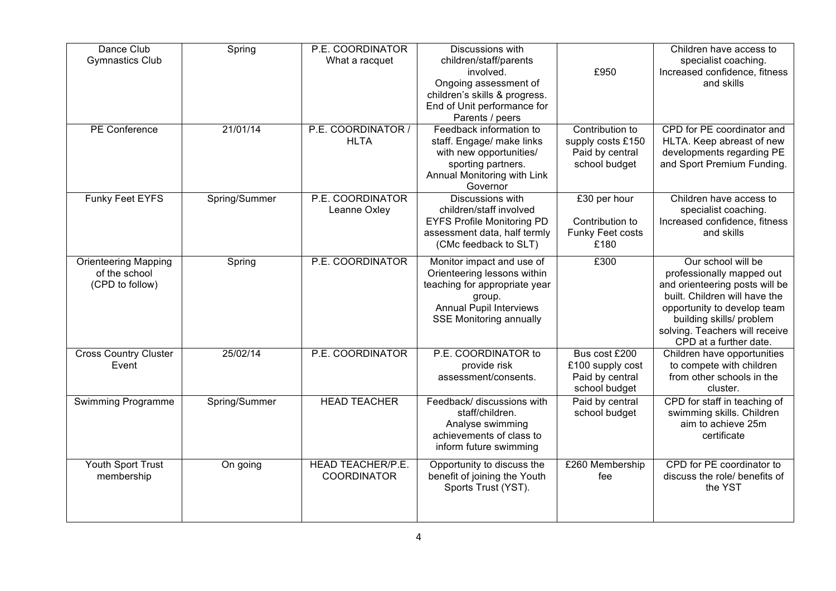| Dance Club<br><b>Gymnastics Club</b> | Spring        | P.E. COORDINATOR<br>What a racquet             | <b>Discussions with</b><br>children/staff/parents          |                        | Children have access to<br>specialist coaching.            |
|--------------------------------------|---------------|------------------------------------------------|------------------------------------------------------------|------------------------|------------------------------------------------------------|
|                                      |               |                                                | involved.                                                  | £950                   | Increased confidence, fitness                              |
|                                      |               |                                                | Ongoing assessment of                                      |                        | and skills                                                 |
|                                      |               |                                                | children's skills & progress.                              |                        |                                                            |
|                                      |               |                                                | End of Unit performance for                                |                        |                                                            |
| <b>PE</b> Conference                 | 21/01/14      | P.E. COORDINATOR /                             | Parents / peers<br>Feedback information to                 | Contribution to        | CPD for PE coordinator and                                 |
|                                      |               | <b>HLTA</b>                                    | staff. Engage/ make links                                  | supply costs £150      | HLTA. Keep abreast of new                                  |
|                                      |               |                                                | with new opportunities/                                    | Paid by central        | developments regarding PE                                  |
|                                      |               |                                                | sporting partners.                                         | school budget          | and Sport Premium Funding.                                 |
|                                      |               |                                                | Annual Monitoring with Link                                |                        |                                                            |
|                                      |               |                                                | Governor                                                   |                        |                                                            |
| Funky Feet EYFS                      | Spring/Summer | P.E. COORDINATOR                               | Discussions with<br>children/staff involved                | £30 per hour           | Children have access to                                    |
|                                      |               | Leanne Oxley                                   | <b>EYFS Profile Monitoring PD</b>                          | Contribution to        | specialist coaching.<br>Increased confidence, fitness      |
|                                      |               |                                                | assessment data, half termly                               | Funky Feet costs       | and skills                                                 |
|                                      |               |                                                | (CMc feedback to SLT)                                      | £180                   |                                                            |
| <b>Orienteering Mapping</b>          | Spring        | P.E. COORDINATOR                               | Monitor impact and use of                                  | £300                   | Our school will be                                         |
| of the school                        |               |                                                | Orienteering lessons within                                |                        | professionally mapped out                                  |
| (CPD to follow)                      |               |                                                | teaching for appropriate year                              |                        | and orienteering posts will be                             |
|                                      |               |                                                | group.                                                     |                        | built. Children will have the                              |
|                                      |               |                                                | <b>Annual Pupil Interviews</b>                             |                        | opportunity to develop team                                |
|                                      |               |                                                | <b>SSE Monitoring annually</b>                             |                        | building skills/ problem                                   |
|                                      |               |                                                |                                                            |                        | solving. Teachers will receive                             |
| <b>Cross Country Cluster</b>         | 25/02/14      | P.E. COORDINATOR                               | P.E. COORDINATOR to                                        | Bus cost £200          | CPD at a further date.<br>Children have opportunities      |
| Event                                |               |                                                | provide risk                                               | £100 supply cost       | to compete with children                                   |
|                                      |               |                                                | assessment/consents.                                       | Paid by central        | from other schools in the                                  |
|                                      |               |                                                |                                                            | school budget          | cluster.                                                   |
| Swimming Programme                   | Spring/Summer | <b>HEAD TEACHER</b>                            | Feedback/ discussions with                                 | Paid by central        | CPD for staff in teaching of                               |
|                                      |               |                                                | staff/children.                                            | school budget          | swimming skills. Children                                  |
|                                      |               |                                                | Analyse swimming<br>achievements of class to               |                        | aim to achieve 25m<br>certificate                          |
|                                      |               |                                                | inform future swimming                                     |                        |                                                            |
|                                      |               |                                                |                                                            |                        |                                                            |
| Youth Sport Trust<br>membership      | On going      | <b>HEAD TEACHER/P.E.</b><br><b>COORDINATOR</b> | Opportunity to discuss the<br>benefit of joining the Youth | £260 Membership<br>fee | CPD for PE coordinator to<br>discuss the role/ benefits of |
|                                      |               |                                                | Sports Trust (YST).                                        |                        | the YST                                                    |
|                                      |               |                                                |                                                            |                        |                                                            |
|                                      |               |                                                |                                                            |                        |                                                            |
|                                      |               |                                                |                                                            |                        |                                                            |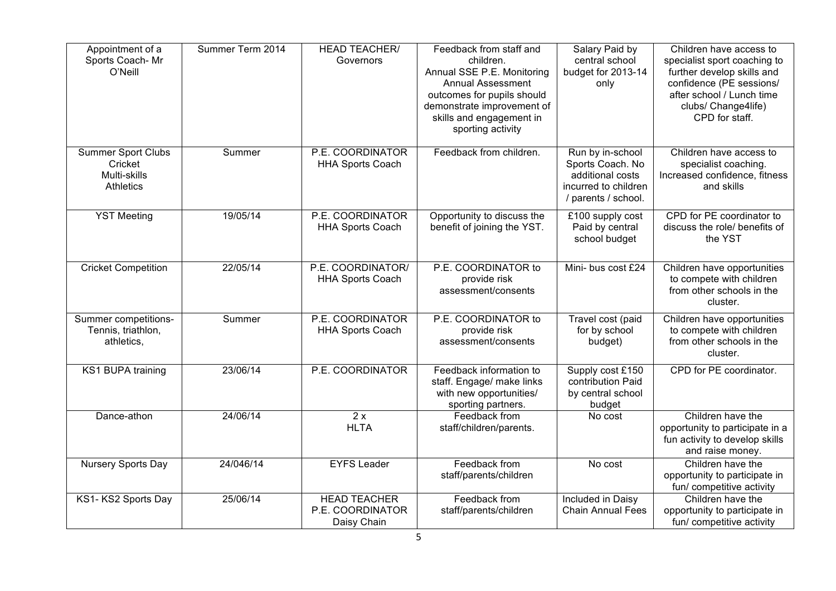| Appointment of a<br>Sports Coach-Mr<br>O'Neill                           | Summer Term 2014 | <b>HEAD TEACHER/</b><br>Governors                      | Feedback from staff and<br>children.<br>Annual SSE P.E. Monitoring<br><b>Annual Assessment</b><br>outcomes for pupils should<br>demonstrate improvement of<br>skills and engagement in<br>sporting activity | Salary Paid by<br>central school<br>budget for 2013-14<br>only                                          | Children have access to<br>specialist sport coaching to<br>further develop skills and<br>confidence (PE sessions/<br>after school / Lunch time<br>clubs/ Change4life)<br>CPD for staff. |
|--------------------------------------------------------------------------|------------------|--------------------------------------------------------|-------------------------------------------------------------------------------------------------------------------------------------------------------------------------------------------------------------|---------------------------------------------------------------------------------------------------------|-----------------------------------------------------------------------------------------------------------------------------------------------------------------------------------------|
| <b>Summer Sport Clubs</b><br>Cricket<br>Multi-skills<br><b>Athletics</b> | Summer           | P.E. COORDINATOR<br><b>HHA Sports Coach</b>            | Feedback from children.                                                                                                                                                                                     | Run by in-school<br>Sports Coach. No<br>additional costs<br>incurred to children<br>/ parents / school. | Children have access to<br>specialist coaching.<br>Increased confidence, fitness<br>and skills                                                                                          |
| <b>YST Meeting</b>                                                       | 19/05/14         | P.E. COORDINATOR<br><b>HHA Sports Coach</b>            | Opportunity to discuss the<br>benefit of joining the YST.                                                                                                                                                   | £100 supply cost<br>Paid by central<br>school budget                                                    | CPD for PE coordinator to<br>discuss the role/ benefits of<br>the YST                                                                                                                   |
| <b>Cricket Competition</b>                                               | 22/05/14         | P.E. COORDINATOR/<br><b>HHA Sports Coach</b>           | P.E. COORDINATOR to<br>provide risk<br>assessment/consents                                                                                                                                                  | Mini- bus cost £24                                                                                      | Children have opportunities<br>to compete with children<br>from other schools in the<br>cluster.                                                                                        |
| Summer competitions-<br>Tennis, triathlon,<br>athletics,                 | Summer           | P.E. COORDINATOR<br><b>HHA Sports Coach</b>            | P.E. COORDINATOR to<br>provide risk<br>assessment/consents                                                                                                                                                  | Travel cost (paid<br>for by school<br>budget)                                                           | Children have opportunities<br>to compete with children<br>from other schools in the<br>cluster.                                                                                        |
| KS1 BUPA training                                                        | 23/06/14         | P.E. COORDINATOR                                       | Feedback information to<br>staff. Engage/ make links<br>with new opportunities/<br>sporting partners.                                                                                                       | Supply cost £150<br>contribution Paid<br>by central school<br>budget                                    | CPD for PE coordinator.                                                                                                                                                                 |
| Dance-athon                                                              | 24/06/14         | $\overline{2x}$<br><b>HLTA</b>                         | Feedback from<br>staff/children/parents.                                                                                                                                                                    | No cost                                                                                                 | Children have the<br>opportunity to participate in a<br>fun activity to develop skills<br>and raise money.                                                                              |
| Nursery Sports Day                                                       | 24/046/14        | <b>EYFS Leader</b>                                     | Feedback from<br>staff/parents/children                                                                                                                                                                     | No cost                                                                                                 | Children have the<br>opportunity to participate in<br>fun/ competitive activity                                                                                                         |
| KS1-KS2 Sports Day                                                       | 25/06/14         | <b>HEAD TEACHER</b><br>P.E. COORDINATOR<br>Daisy Chain | Feedback from<br>staff/parents/children                                                                                                                                                                     | Included in Daisy<br><b>Chain Annual Fees</b>                                                           | Children have the<br>opportunity to participate in<br>fun/ competitive activity                                                                                                         |